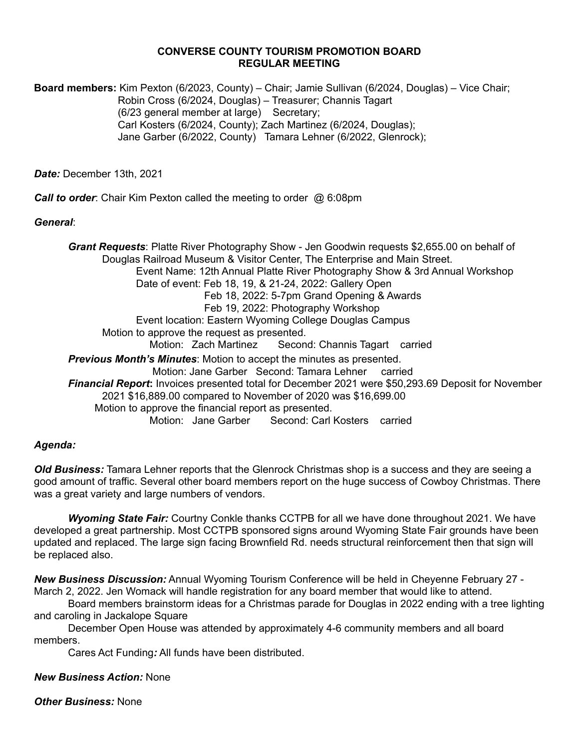#### **CONVERSE COUNTY TOURISM PROMOTION BOARD REGULAR MEETING**

**Board members:** Kim Pexton (6/2023, County) – Chair; Jamie Sullivan (6/2024, Douglas) – Vice Chair; Robin Cross (6/2024, Douglas) – Treasurer; Channis Tagart (6/23 general member at large) Secretary; Carl Kosters (6/2024, County); Zach Martinez (6/2024, Douglas); Jane Garber (6/2022, County) Tamara Lehner (6/2022, Glenrock);

*Date:* December 13th, 2021

*Call to order*: Chair Kim Pexton called the meeting to order @ 6:08pm

#### *General*:

*Grant Requests*: Platte River Photography Show - Jen Goodwin requests \$2,655.00 on behalf of Douglas Railroad Museum & Visitor Center, The Enterprise and Main Street. Event Name: 12th Annual Platte River Photography Show & 3rd Annual Workshop Date of event: Feb 18, 19, & 21-24, 2022: Gallery Open Feb 18, 2022: 5-7pm Grand Opening & Awards Feb 19, 2022: Photography Workshop Event location: Eastern Wyoming College Douglas Campus Motion to approve the request as presented. Motion: Zach Martinez Second: Channis Tagart carried *Previous Month's Minutes*: Motion to accept the minutes as presented. Motion: Jane Garber Second: Tamara Lehner carried *Financial Report***:** Invoices presented total for December 2021 were \$50,293.69 Deposit for November 2021 \$16,889.00 compared to November of 2020 was \$16,699.00 Motion to approve the financial report as presented. Motion: Jane Garber Second: Carl Kosters carried

## *Agenda:*

*Old Business:* Tamara Lehner reports that the Glenrock Christmas shop is a success and they are seeing a good amount of traffic. Several other board members report on the huge success of Cowboy Christmas. There was a great variety and large numbers of vendors.

*Wyoming State Fair:* Courtny Conkle thanks CCTPB for all we have done throughout 2021. We have developed a great partnership. Most CCTPB sponsored signs around Wyoming State Fair grounds have been updated and replaced. The large sign facing Brownfield Rd. needs structural reinforcement then that sign will be replaced also.

*New Business Discussion:* Annual Wyoming Tourism Conference will be held in Cheyenne February 27 - March 2, 2022. Jen Womack will handle registration for any board member that would like to attend.

Board members brainstorm ideas for a Christmas parade for Douglas in 2022 ending with a tree lighting and caroling in Jackalope Square

December Open House was attended by approximately 4-6 community members and all board members.

Cares Act Funding*:* All funds have been distributed.

## *New Business Action:* None

*Other Business:* None